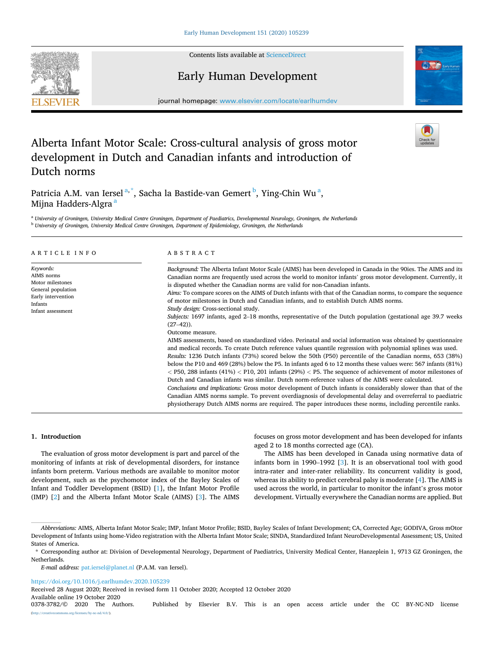Contents lists available at [ScienceDirect](www.sciencedirect.com/science/journal/03783782)

## Early Human Development

journal homepage: [www.elsevier.com/locate/earlhumdev](https://www.elsevier.com/locate/earlhumdev) 

# Alberta Infant Motor Scale: Cross-cultural analysis of gross motor development in Dutch and Canadian infants and introduction of Dutch norms

Patricia A.M. van Iersel<sup>a,\*</sup>, Sacha la Bastide-van Gemert <sup>b</sup>, Ying-Chin Wu<sup>a</sup>, Mijna Hadders-Algra<sup>a</sup>

<sup>a</sup> *University of Groningen, University Medical Centre Groningen, Department of Paediatrics, Developmental Neurology, Groningen, the Netherlands* <sup>b</sup> *University of Groningen, University Medical Centre Groningen, Department of Epidemiology, Groningen, the Netherlands* 

| ARTICLE INFO                                                                                                            | ABSTRACT                                                                                                                                                                                                                                                                                                                                                                                                                                                                                                                                                                                                                                                                                                                                                                                                                                                                                                                                                                                                                                             |  |  |
|-------------------------------------------------------------------------------------------------------------------------|------------------------------------------------------------------------------------------------------------------------------------------------------------------------------------------------------------------------------------------------------------------------------------------------------------------------------------------------------------------------------------------------------------------------------------------------------------------------------------------------------------------------------------------------------------------------------------------------------------------------------------------------------------------------------------------------------------------------------------------------------------------------------------------------------------------------------------------------------------------------------------------------------------------------------------------------------------------------------------------------------------------------------------------------------|--|--|
| Keywords:<br>AIMS norms<br>Motor milestones<br>General population<br>Early intervention<br>Infants<br>Infant assessment | Background: The Alberta Infant Motor Scale (AIMS) has been developed in Canada in the 90ies. The AIMS and its<br>Canadian norms are frequently used across the world to monitor infants' gross motor development. Currently, it<br>is disputed whether the Canadian norms are valid for non-Canadian infants.<br>Aims: To compare scores on the AIMS of Dutch infants with that of the Canadian norms, to compare the sequence<br>of motor milestones in Dutch and Canadian infants, and to establish Dutch AIMS norms.<br>Study design: Cross-sectional study.<br><i>Subjects:</i> 1697 infants, aged 2–18 months, representative of the Dutch population (gestational age 39.7 weeks<br>$(27-42)$ .                                                                                                                                                                                                                                                                                                                                                |  |  |
|                                                                                                                         | Outcome measure.<br>AIMS assessments, based on standardized video. Perinatal and social information was obtained by questionnaire<br>and medical records. To create Dutch reference values quantile regression with polynomial splines was used.<br>Results: 1236 Dutch infants (73%) scored below the 50th (P50) percentile of the Canadian norms, 653 (38%)<br>below the P10 and 469 (28%) below the P5. In infants aged 6 to 12 months these values were: 567 infants (81%)<br>$<$ P50, 288 infants (41%) $<$ P10, 201 infants (29%) $<$ P5. The sequence of achievement of motor milestones of<br>Dutch and Canadian infants was similar. Dutch norm-reference values of the AIMS were calculated.<br>Conclusions and implications: Gross motor development of Dutch infants is considerably slower than that of the<br>Canadian AIMS norms sample. To prevent overdiagnosis of developmental delay and overreferral to paediatric<br>physiotherapy Dutch AIMS norms are required. The paper introduces these norms, including percentile ranks. |  |  |

## **1. Introduction**

The evaluation of gross motor development is part and parcel of the monitoring of infants at risk of developmental disorders, for instance infants born preterm. Various methods are available to monitor motor development, such as the psychomotor index of the Bayley Scales of Infant and Toddler Development (BSID) [[1](#page-4-0)], the Infant Motor Profile (IMP) [[2](#page-4-0)] and the Alberta Infant Motor Scale (AIMS) [\[3\]](#page-4-0). The AIMS focuses on gross motor development and has been developed for infants aged 2 to 18 months corrected age (CA).

The AIMS has been developed in Canada using normative data of infants born in 1990–1992 [\[3\]](#page-4-0). It is an observational tool with good intra-rater and inter-rater reliability. Its concurrent validity is good, whereas its ability to predict cerebral palsy is moderate [\[4\]](#page-4-0). The AIMS is used across the world, in particular to monitor the infant's gross motor development. Virtually everywhere the Canadian norms are applied. But

*E-mail address:* [pat.iersel@planet.nl](mailto:pat.iersel@planet.nl) (P.A.M. van Iersel).

<https://doi.org/10.1016/j.earlhumdev.2020.105239>

Received 28 August 2020; Received in revised form 11 October 2020; Accepted 12 October 2020

Available online 19 October 2020<br>0378-3782/© 2020 The Authors.

Published by Elsevier B.V. This is an open access article under the CC BY-NC-ND license ns.org/licenses/by-nc-nd/4.0/).





*Abbreviations:* AIMS, Alberta Infant Motor Scale; IMP, Infant Motor Profile; BSID, Bayley Scales of Infant Development; CA, Corrected Age; GODIVA, Gross mOtor Development of Infants using home-Video registration with the Alberta Infant Motor Scale; SINDA, Standardized Infant NeuroDevelopmental Assessment; US, United States of America.

<sup>\*</sup> Corresponding author at: Division of Developmental Neurology, Department of Paediatrics, University Medical Center, Hanzeplein 1, 9713 GZ Groningen, the Netherlands.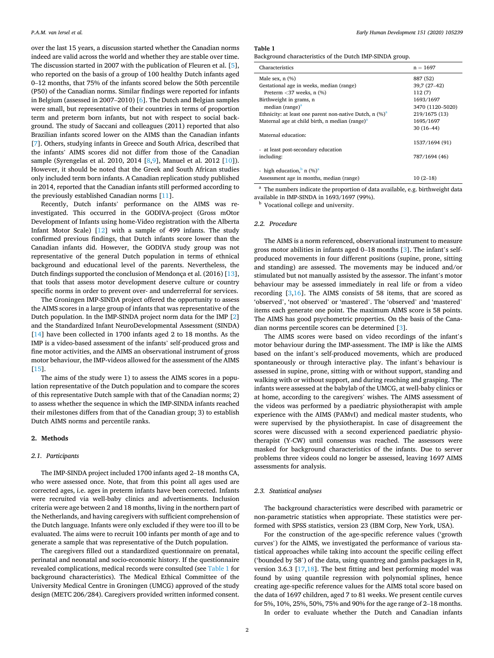<span id="page-1-0"></span>over the last 15 years, a discussion started whether the Canadian norms indeed are valid across the world and whether they are stable over time. The discussion started in 2007 with the publication of Fleuren et al. [[5](#page-4-0)], who reported on the basis of a group of 100 healthy Dutch infants aged 0–12 months, that 75% of the infants scored below the 50th percentile (P50) of the Canadian norms. Similar findings were reported for infants in Belgium (assessed in 2007–2010) [[6](#page-4-0)]. The Dutch and Belgian samples were small, but representative of their countries in terms of proportion term and preterm born infants, but not with respect to social background. The study of Saccani and colleagues (2011) reported that also Brazilian infants scored lower on the AIMS than the Canadian infants [[7](#page-4-0)]. Others, studying infants in Greece and South Africa, described that the infants' AIMS scores did not differ from those of the Canadian sample (Syrengelas et al. 2010, 2014 [[8](#page-4-0),[9](#page-4-0)], Manuel et al. 2012 [\[10](#page-4-0)]). However, it should be noted that the Greek and South African studies only included term born infants. A Canadian replication study published in 2014, reported that the Canadian infants still performed according to the previously established Canadian norms [\[11](#page-4-0)].

Recently, Dutch infants' performance on the AIMS was reinvestigated. This occurred in the GODIVA-project (Gross mOtor Development of Infants using home-Video registration with the Alberta Infant Motor Scale) [[12\]](#page-4-0) with a sample of 499 infants. The study confirmed previous findings, that Dutch infants score lower than the Canadian infants did. However, the GODIVA study group was not representative of the general Dutch population in terms of ethnical background and educational level of the parents. Nevertheless, the Dutch findings supported the conclusion of Mendonça et al. (2016) [\[13](#page-4-0)], that tools that assess motor development deserve culture or country specific norms in order to prevent over- and underreferral for services.

The Groningen IMP-SINDA project offered the opportunity to assess the AIMS scores in a large group of infants that was representative of the Dutch population. In the IMP-SINDA project norm data for the IMP [[2](#page-4-0)] and the Standardized Infant NeuroDevelopmental Assessment (SINDA) [[14\]](#page-4-0) have been collected in 1700 infants aged 2 to 18 months. As the IMP is a video-based assessment of the infants' self-produced gross and fine motor activities, and the AIMS an observational instrument of gross motor behaviour, the IMP-videos allowed for the assessment of the AIMS [[15\]](#page-4-0).

The aims of the study were 1) to assess the AIMS scores in a population representative of the Dutch population and to compare the scores of this representative Dutch sample with that of the Canadian norms; 2) to assess whether the sequence in which the IMP-SINDA infants reached their milestones differs from that of the Canadian group; 3) to establish Dutch AIMS norms and percentile ranks.

#### **2. Methods**

## *2.1. Participants*

The IMP-SINDA project included 1700 infants aged 2–18 months CA, who were assessed once. Note, that from this point all ages used are corrected ages, i.e. ages in preterm infants have been corrected. Infants were recruited via well-baby clinics and advertisements. Inclusion criteria were age between 2 and 18 months, living in the northern part of the Netherlands, and having caregivers with sufficient comprehension of the Dutch language. Infants were only excluded if they were too ill to be evaluated. The aims were to recruit 100 infants per month of age and to generate a sample that was representative of the Dutch population.

The caregivers filled out a standardized questionnaire on prenatal, perinatal and neonatal and socio-economic history. If the questionnaire revealed complications, medical records were consulted (see Table 1 for background characteristics). The Medical Ethical Committee of the University Medical Centre in Groningen (UMCG) approved of the study design (METC 206/284). Caregivers provided written informed consent.

#### **Table 1**

Background characteristics of the Dutch IMP-SINDA group.

| Characteristics                                               | $n = 1697$       |
|---------------------------------------------------------------|------------------|
| Male sex, $n$ $(\%)$                                          | 887 (52)         |
| Gestational age in weeks, median (range)                      | 39,7 (27-42)     |
| Preterm $<$ 37 weeks, n $(\%)$                                | 112(7)           |
| Birthweight in grams, n                                       | 1693/1697        |
| median (range) <sup>a</sup>                                   | 3470 (1120-5020) |
| Ethnicity: at least one parent non-native Dutch, $n \ (\%)^a$ | 219/1675 (13)    |
| Maternal age at child birth, n median (range) <sup>a</sup>    | 1695/1697        |
|                                                               | $30(16-44)$      |
| Maternal education:                                           |                  |
|                                                               | 1537/1694 (91)   |
| - at least post-secondary education                           |                  |
| including:                                                    | 787/1694 (46)    |
|                                                               |                  |
| - high education, $n (\%)^a$                                  |                  |
| Assessment age in months, median (range)                      | $10(2-18)$       |

<sup>a</sup> The numbers indicate the proportion of data available, e.g. birthweight data available in IMP-SINDA in 1693/1697 (99%).

<sup>b</sup> Vocational college and university.

### *2.2. Procedure*

The AIMS is a norm referenced, observational instrument to measure gross motor abilities in infants aged 0–18 months [\[3\]](#page-4-0). The infant's selfproduced movements in four different positions (supine, prone, sitting and standing) are assessed. The movements may be induced and/or stimulated but not manually assisted by the assessor. The infant's motor behaviour may be assessed immediately in real life or from a video recording [\[3,16](#page-4-0)]. The AIMS consists of 58 items, that are scored as 'observed', 'not observed' or 'mastered'. The 'observed' and 'mastered' items each generate one point. The maximum AIMS score is 58 points. The AIMS has good psychometric properties. On the basis of the Canadian norms percentile scores can be determined [\[3\]](#page-4-0).

The AIMS scores were based on video recordings of the infant's motor behaviour during the IMP-assessment. The IMP is like the AIMS based on the infant's self-produced movements, which are produced spontaneously or through interactive play. The infant's behaviour is assessed in supine, prone, sitting with or without support, standing and walking with or without support, and during reaching and grasping. The infants were assessed at the babylab of the UMCG, at well-baby clinics or at home, according to the caregivers' wishes. The AIMS assessment of the videos was performed by a paediatric physiotherapist with ample experience with the AIMS (PAMvI) and medical master students, who were supervised by the physiotherapist. In case of disagreement the scores were discussed with a second experienced paediatric physiotherapist (Y-CW) until consensus was reached. The assessors were masked for background characteristics of the infants. Due to server problems three videos could no longer be assessed, leaving 1697 AIMS assessments for analysis.

#### *2.3. Statistical analyses*

The background characteristics were described with parametric or non-parametric statistics when appropriate. These statistics were performed with SPSS statistics, version 23 (IBM Corp, New York, USA).

For the construction of the age-specific reference values ('growth curves') for the AIMS, we investigated the performance of various statistical approaches while taking into account the specific ceiling effect ('bounded by 58') of the data, using quantreg and gamlss packages in R, version 3.6.3 [\[17,18](#page-4-0)]. The best fitting and best performing model was found by using quantile regression with polynomial splines, hence creating age-specific reference values for the AIMS total score based on the data of 1697 children, aged 7 to 81 weeks. We present centile curves for 5%, 10%, 25%, 50%, 75% and 90% for the age range of 2–18 months.

In order to evaluate whether the Dutch and Canadian infants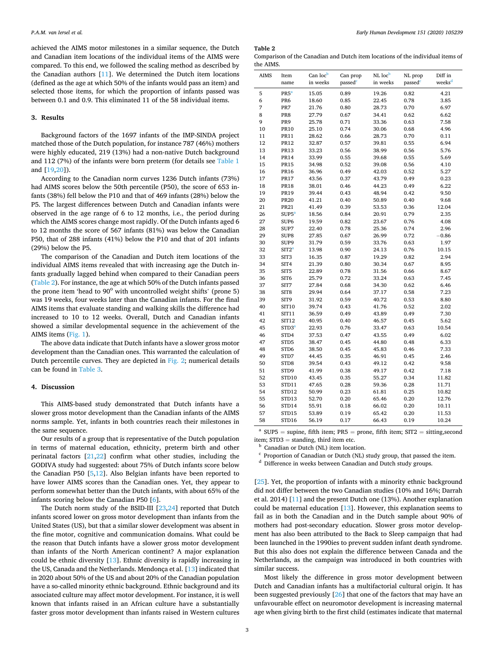achieved the AIMS motor milestones in a similar sequence, the Dutch and Canadian item locations of the individual items of the AIMS were compared. To this end, we followed the scaling method as described by the Canadian authors [\[11](#page-4-0)]. We determined the Dutch item locations (defined as the age at which 50% of the infants would pass an item) and selected those items, for which the proportion of infants passed was between 0.1 and 0.9. This eliminated 11 of the 58 individual items.

#### **3. Results**

Background factors of the 1697 infants of the IMP-SINDA project matched those of the Dutch population, for instance 787 (46%) mothers were highly educated, 219 (13%) had a non-native Dutch background and 112 (7%) of the infants were born preterm (for details see [Table 1](#page-1-0)  and [\[19](#page-4-0),[20\]](#page-4-0)).

According to the Canadian norm curves 1236 Dutch infants (73%) had AIMS scores below the 50th percentile (P50), the score of 653 infants (38%) fell below the P10 and that of 469 infants (28%) below the P5. The largest differences between Dutch and Canadian infants were observed in the age range of 6 to 12 months, i.e., the period during which the AIMS scores change most rapidly. Of the Dutch infants aged 6 to 12 months the score of 567 infants (81%) was below the Canadian P50, that of 288 infants (41%) below the P10 and that of 201 infants (29%) below the P5.

The comparison of the Canadian and Dutch item locations of the individual AIMS items revealed that with increasing age the Dutch infants gradually lagged behind when compared to their Canadian peers (Table 2). For instance, the age at which 50% of the Dutch infants passed the prone item 'head to  $90^{\circ}$  with uncontrolled weight shifts' (prone 5) was 19 weeks, four weeks later than the Canadian infants. For the final AIMS items that evaluate standing and walking skills the difference had increased to 10 to 12 weeks. Overall, Dutch and Canadian infants showed a similar developmental sequence in the achievement of the AIMS items ([Fig. 1\)](#page-3-0).

The above data indicate that Dutch infants have a slower gross motor development than the Canadian ones. This warranted the calculation of Dutch percentile curves. They are depicted in [Fig. 2;](#page-3-0) numerical details can be found in [Table 3.](#page-3-0)

## **4. Discussion**

This AIMS-based study demonstrated that Dutch infants have a slower gross motor development than the Canadian infants of the AIMS norms sample. Yet, infants in both countries reach their milestones in the same sequence.

Our results of a group that is representative of the Dutch population in terms of maternal education, ethnicity, preterm birth and other perinatal factors [[21,22\]](#page-4-0) confirm what other studies, including the GODIVA study had suggested: about 75% of Dutch infants score below the Canadian P50  $[5,12]$  $[5,12]$  $[5,12]$ . Also Belgian infants have been reported to have lower AIMS scores than the Canadian ones. Yet, they appear to perform somewhat better than the Dutch infants, with about 65% of the infants scoring below the Canadian P50 [[6](#page-4-0)].

The Dutch norm study of the BSID-III [\[23,24](#page-4-0)] reported that Dutch infants scored lower on gross motor development than infants from the United States (US), but that a similar slower development was absent in the fine motor, cognitive and communication domains. What could be the reason that Dutch infants have a slower gross motor development than infants of the North American continent? A major explanation could be ethnic diversity [[13\]](#page-4-0). Ethnic diversity is rapidly increasing in the US, Canada and the Netherlands. Mendonça et al. [\[13](#page-4-0)] indicated that in 2020 about 50% of the US and about 20% of the Canadian population have a so-called minority ethnic background. Ethnic background and its associated culture may affect motor development. For instance, it is well known that infants raised in an African culture have a substantially faster gross motor development than infants raised in Western cultures

**Table 2** 

Comparison of the Canadian and Dutch item locations of the individual items of the AIMS.

| <b>AIMS</b> | Item              | Can locb | Can prop | NL locb  | NL prop | Diff in            |
|-------------|-------------------|----------|----------|----------|---------|--------------------|
|             | name              | in weeks | passed   | in weeks | passed  | weeks <sup>d</sup> |
| 5           | PR5 <sup>a</sup>  | 15.05    | 0.89     | 19.26    | 0.82    | 4.21               |
| 6           | PR <sub>6</sub>   | 18.60    | 0.85     | 22.45    | 0.78    | 3.85               |
| 7           | PR7               | 21.76    | 0.80     | 28.73    | 0.70    | 6.97               |
| 8           | PR8               | 27.79    | 0.67     | 34.41    | 0.62    | 6.62               |
| 9           | PR9               | 25.78    | 0.71     | 33.36    | 0.63    | 7.58               |
| 10          | <b>PR10</b>       | 25.10    | 0.74     | 30.06    | 0.68    | 4.96               |
| 11          | <b>PR11</b>       | 28.62    | 0.66     | 28.73    | 0.70    | 0.11               |
| 12          | <b>PR12</b>       | 32.87    | 0.57     | 39.81    | 0.55    | 6.94               |
| 13          | <b>PR13</b>       | 33.23    | 0.56     | 38.99    | 0.56    | 5.76               |
| 14          | <b>PR14</b>       | 33.99    | 0.55     | 39.68    | 0.55    | 5.69               |
| 15          | <b>PR15</b>       | 34.98    | 0.52     | 39.08    | 0.56    | 4.10               |
| 16          | <b>PR16</b>       | 36.96    | 0.49     | 42.03    | 0.52    | 5.27               |
| 17          | <b>PR17</b>       | 43.56    | 0.37     | 43.79    | 0.49    | 0.23               |
| 18          | <b>PR18</b>       | 38.01    | 0.46     | 44.23    | 0.49    | 6.22               |
| 19          | PR19              | 39.44    | 0.43     | 48.94    | 0.42    | 9.50               |
| 20          | <b>PR20</b>       | 41.21    | 0.40     | 50.89    | 0.40    | 9.68               |
| 21          | <b>PR21</b>       | 41.49    | 0.39     | 53.53    | 0.36    | 12.04              |
| 26          | SUB5 <sup>a</sup> | 18.56    | 0.84     | 20.91    | 0.79    | 2.35               |
| 27          | SUP <sub>6</sub>  | 19.59    | 0.82     | 23.67    | 0.76    | 4.08               |
| 28          | SUP7              | 22.40    | 0.78     | 25.36    | 0.74    | 2.96               |
| 29          | SUP8              | 27.85    | 0.67     | 26.99    | 0.72    | $-0.86$            |
| 30          | SUP9              | 31.79    | 0.59     | 33.76    | 0.63    | 1.97               |
| 32          | SIT2 <sup>a</sup> | 13.98    | 0.90     | 24.13    | 0.76    | 10.15              |
| 33          | SIT <sub>3</sub>  | 16.35    | 0.87     | 19.29    | 0.82    | 2.94               |
| 34          | SIT4              | 21.39    | 0.80     | 30.34    | 0.67    | 8.95               |
| 35          | SIT <sub>5</sub>  | 22.89    | 0.78     | 31.56    | 0.66    | 8.67               |
| 36          | SIT6              | 25.79    | 0.72     | 33.24    | 0.63    | 7.45               |
| 37          | SIT7              | 27.84    | 0.68     | 34.30    | 0.62    | 6.46               |
| 38          | SIT <sub>8</sub>  | 29.94    | 0.64     | 37.17    | 0.58    | 7.23               |
| 39          | SIT9              | 31.92    | 0.59     | 40.72    | 0.53    | 8.80               |
| 40          | <b>SIT10</b>      | 39.74    | 0.43     | 41.76    | 0.52    | 2.02               |
| 41          | SIT11             | 36.59    | 0.49     | 43.89    | 0.49    | 7.30               |
| 42          | <b>SIT12</b>      | 40.95    | 0.40     | 46.57    | 0.45    | 5.62               |
| 45          | STD3 <sup>a</sup> | 22.93    | 0.76     | 33.47    | 0.63    | 10.54              |
| 46          | STD4              | 37.53    | 0.47     | 43.55    | 0.49    | 6.02               |
| 47          | STD5              | 38.47    | 0.45     | 44.80    | 0.48    | 6.33               |
| 48          | STD6              | 38.50    | 0.45     | 45.83    | 0.46    | 7.33               |
| 49          | STD7              | 44.45    | 0.35     | 46.91    | 0.45    | 2.46               |
| 50          | STD <sub>8</sub>  | 39.54    | 0.43     | 49.12    | 0.42    | 9.58               |
| 51          | STD9              | 41.99    | 0.38     | 49.17    | 0.42    | 7.18               |
| 52          | STD10             | 43.45    | 0.35     | 55.27    | 0.34    | 11.82              |
| 53          | STD11             | 47.65    | 0.28     | 59.36    | 0.28    | 11.71              |
| 54          | STD12             | 50.99    | 0.23     | 61.81    | 0.25    | 10.82              |
| 55          | STD13             | 52.70    | 0.20     | 65.46    | 0.20    | 12.76              |
| 56          | STD14             | 55.91    | 0.18     | 66.02    | 0.20    | 10.11              |
| 57          | STD15             | 53.89    | 0.19     | 65.42    | 0.20    | 11.53              |
| 58          | STD16             | 56.19    | 0.17     | 66.43    | 0.19    | 10.24              |

<sup>a</sup> SUP5 = supine, fifth item; PR5 = prone, fifth item; SIT2 = sitting, second

item; STD3 = standing, third item etc.<br><sup>b</sup> Canadian or Dutch (NL) item location.<br><sup>c</sup> Proportion of Canadian or Dutch (NL) study group, that passed the item.<br>d Difference in weeks between Canadian and Dutch study groups.

[[25\]](#page-4-0). Yet, the proportion of infants with a minority ethnic background did not differ between the two Canadian studies (10% and 16%; Darrah et al. 2014) [[11\]](#page-4-0) and the present Dutch one (13%). Another explanation could be maternal education [\[13](#page-4-0)]. However, this explanation seems to fail as in both the Canadian and in the Dutch sample about 90% of mothers had post-secondary education. Slower gross motor development has also been attributed to the Back to Sleep campaign that had been launched in the 1990ies to prevent sudden infant death syndrome. But this also does not explain the difference between Canada and the Netherlands, as the campaign was introduced in both countries with similar success.

Most likely the difference in gross motor development between Dutch and Canadian infants has a multifactorial cultural origin. It has been suggested previously [[26\]](#page-4-0) that one of the factors that may have an unfavourable effect on neuromotor development is increasing maternal age when giving birth to the first child (estimates indicate that maternal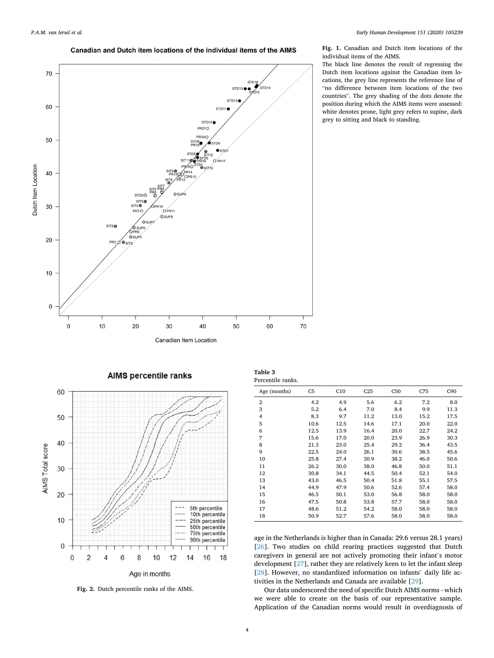Canadian and Dutch item locations of the individual items of the AIMS

<span id="page-3-0"></span>

**Fig. 1.** Canadian and Dutch item locations of the individual items of the AIMS.

The black line denotes the result of regressing the Dutch item locations against the Canadian item locations, the grey line represents the reference line of "no difference between item locations of the two countries". The grey shading of the dots denote the position during which the AIMS items were assessed: white denotes prone, light grey refers to supine, dark grey to sitting and black to standing.



**AIMS percentile ranks** 

Age in months

**Fig. 2.** Dutch percentile ranks of the AIMS.

| tuvic v        |  |
|----------------|--|
| Dogontila soon |  |

**Table 3** 

| Percentile ranks. |                |      |                 |      |      |                 |
|-------------------|----------------|------|-----------------|------|------|-----------------|
| Age (months)      | C <sub>5</sub> | C10  | C <sub>25</sub> | C50  | C75  | C <sub>90</sub> |
| $\overline{2}$    | 4.2            | 4.9  | 5.6             | 6.2  | 7.2  | 8.0             |
| 3                 | 5.2            | 6.4  | 7.0             | 8.4  | 9.9  | 11.3            |
| 4                 | 8.3            | 9.7  | 11.2            | 13.0 | 15.2 | 17.5            |
| 5                 | 10.6           | 12.5 | 14.6            | 17.1 | 20.0 | 22.0            |
| 6                 | 12.5           | 13.9 | 16.4            | 20.0 | 22.7 | 24.2            |
| 7                 | 15.6           | 17.0 | 20.0            | 23.9 | 26.9 | 30.3            |
| 8                 | 21.3           | 23.0 | 25.4            | 29.2 | 36.4 | 43.5            |
| 9                 | 22.5           | 24.0 | 26.1            | 30.6 | 38.5 | 45.6            |
| 10                | 25.8           | 27.4 | 30.9            | 38.2 | 46.0 | 50.6            |
| 11                | 26.2           | 30.0 | 38.0            | 46.8 | 50.0 | 51.1            |
| 12                | 30.8           | 34.1 | 44.5            | 50.4 | 52.1 | 54.0            |
| 13                | 43.0           | 46.5 | 50.4            | 51.8 | 55.1 | 57.5            |
| 14                | 44.9           | 47.9 | 50.6            | 52.6 | 57.4 | 58.0            |
| 15                | 46.5           | 50.1 | 53.0            | 56.8 | 58.0 | 58.0            |
| 16                | 47.5           | 50.8 | 53.8            | 57.7 | 58.0 | 58.0            |
| 17                | 48.6           | 51.2 | 54.2            | 58.0 | 58.0 | 58.0            |
| 18                | 50.9           | 52.7 | 57.6            | 58.0 | 58.0 | 58.0            |

age in the Netherlands is higher than in Canada: 29.6 versus 28.1 years) [[26\]](#page-4-0). Two studies on child rearing practices suggested that Dutch caregivers in general are not actively promoting their infant's motor development [[27\]](#page-4-0), rather they are relatively keen to let the infant sleep [[28\]](#page-4-0). However, no standardized information on infants' daily life activities in the Netherlands and Canada are available [[29\]](#page-4-0).

Our data underscored the need of specific Dutch AIMS norms - which we were able to create on the basis of our representative sample. Application of the Canadian norms would result in overdiagnosis of